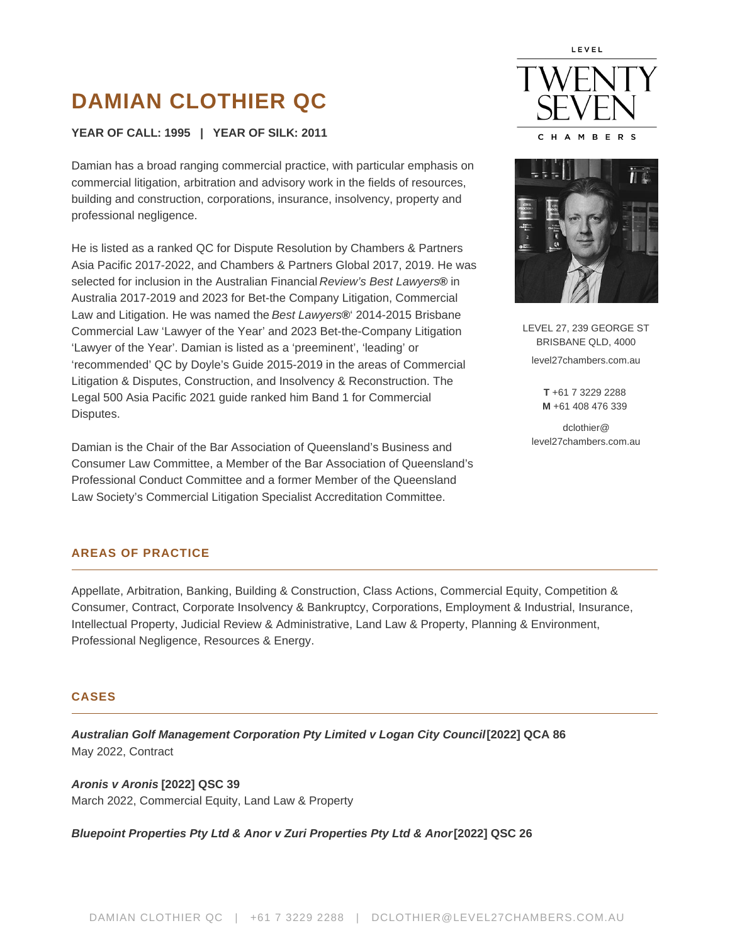# **DAMIAN CLOTHIER QC**

### **YEAR OF CALL: 1995 | YEAR OF SILK: 2011**

Damian has a broad ranging commercial practice, with particular emphasis on commercial litigation, arbitration and advisory work in the fields of resources, building and construction, corporations, insurance, insolvency, property and professional negligence.

He is listed as a ranked QC for Dispute Resolution by Chambers & Partners Asia Pacific 2017-2022, and Chambers & Partners Global 2017, 2019. He was selected for inclusion in the Australian Financial Review's Best Lawyers**®** in Australia 2017-2019 and 2023 for Bet-the Company Litigation, Commercial Law and Litigation. He was named the Best Lawyers**®**' 2014-2015 Brisbane Commercial Law 'Lawyer of the Year' and 2023 Bet-the-Company Litigation 'Lawyer of the Year'. Damian is listed as a 'preeminent', 'leading' or 'recommended' QC by Doyle's Guide 2015-2019 in the areas of Commercial Litigation & Disputes, Construction, and Insolvency & Reconstruction. The Legal 500 Asia Pacific 2021 guide ranked him Band 1 for Commercial Disputes.

Damian is the Chair of the Bar Association of Queensland's Business and Consumer Law Committee, a Member of the Bar Association of Queensland's Professional Conduct Committee and a former Member of the Queensland Law Society's Commercial Litigation Specialist Accreditation Committee.





LEVEL 27, 239 GEORGE ST BRISBANE QLD, 4000 level27chambers.com.au

> **T** +61 7 3229 2288 **M** +61 408 476 339

dclothier@ level27chambers.com.au

# **AREAS OF PRACTICE**

Appellate, Arbitration, Banking, Building & Construction, Class Actions, Commercial Equity, Competition & Consumer, Contract, Corporate Insolvency & Bankruptcy, Corporations, Employment & Industrial, Insurance, Intellectual Property, Judicial Review & Administrative, Land Law & Property, Planning & Environment, Professional Negligence, Resources & Energy.

#### **CASES**

**Australian Golf Management Corporation Pty Limited v Logan City Council[2022] QCA 86** May 2022, Contract

**Aronis v Aronis [2022] QSC 39** March 2022, Commercial Equity, Land Law & Property

**Bluepoint Properties Pty Ltd & Anor v Zuri Properties Pty Ltd & Anor [2022] QSC 26**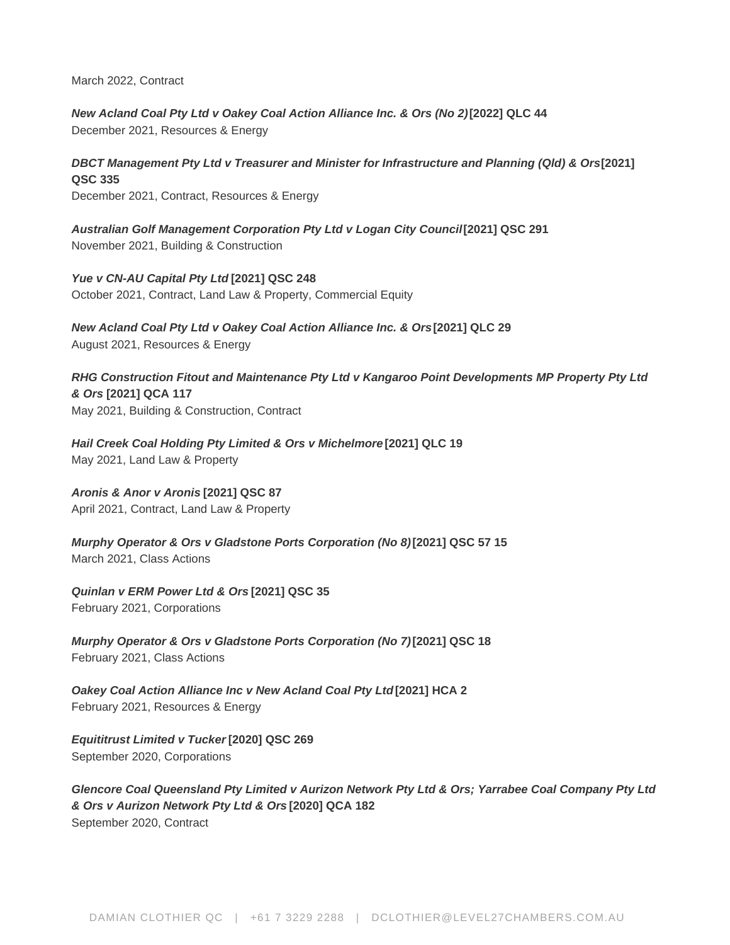March 2022, Contract

**New Acland Coal Pty Ltd v Oakey Coal Action Alliance Inc. & Ors (No 2) [2022] QLC 44** December 2021, Resources & Energy

**DBCT Management Pty Ltd v Treasurer and Minister for Infrastructure and Planning (QId) & Ors[2021] QSC 335** December 2021, Contract, Resources & Energy

**Australian Golf Management Corporation Pty Ltd v Logan City Council [2021] QSC 291** November 2021, Building & Construction

**Yue v CN-AU Capital Pty Ltd [2021] QSC 248** October 2021, Contract, Land Law & Property, Commercial Equity

**New Acland Coal Pty Ltd v Oakey Coal Action Alliance Inc. & Ors [2021] QLC 29** August 2021, Resources & Energy

**RHG Construction Fitout and Maintenance Pty Ltd v Kangaroo Point Developments MP Property Pty Ltd & Ors [2021] QCA 117** May 2021, Building & Construction, Contract

**Hail Creek Coal Holding Pty Limited & Ors v Michelmore [2021] QLC 19** May 2021, Land Law & Property

**Aronis & Anor v Aronis [2021] QSC 87**

April 2021, Contract, Land Law & Property

**Murphy Operator & Ors v Gladstone Ports Corporation (No 8) [2021] QSC 57 15** March 2021, Class Actions

**Quinlan v ERM Power Ltd & Ors [2021] QSC 35** February 2021, Corporations

**Murphy Operator & Ors v Gladstone Ports Corporation (No 7) [2021] QSC 18** February 2021, Class Actions

**Oakey Coal Action Alliance Inc v New Acland Coal Pty Ltd [2021] HCA 2** February 2021, Resources & Energy

**Equititrust Limited v Tucker [2020] QSC 269** September 2020, Corporations

**Glencore Coal Queensland Pty Limited v Aurizon Network Pty Ltd & Ors; Yarrabee Coal Company Pty Ltd & Ors v Aurizon Network Pty Ltd & Ors [2020] QCA 182** September 2020, Contract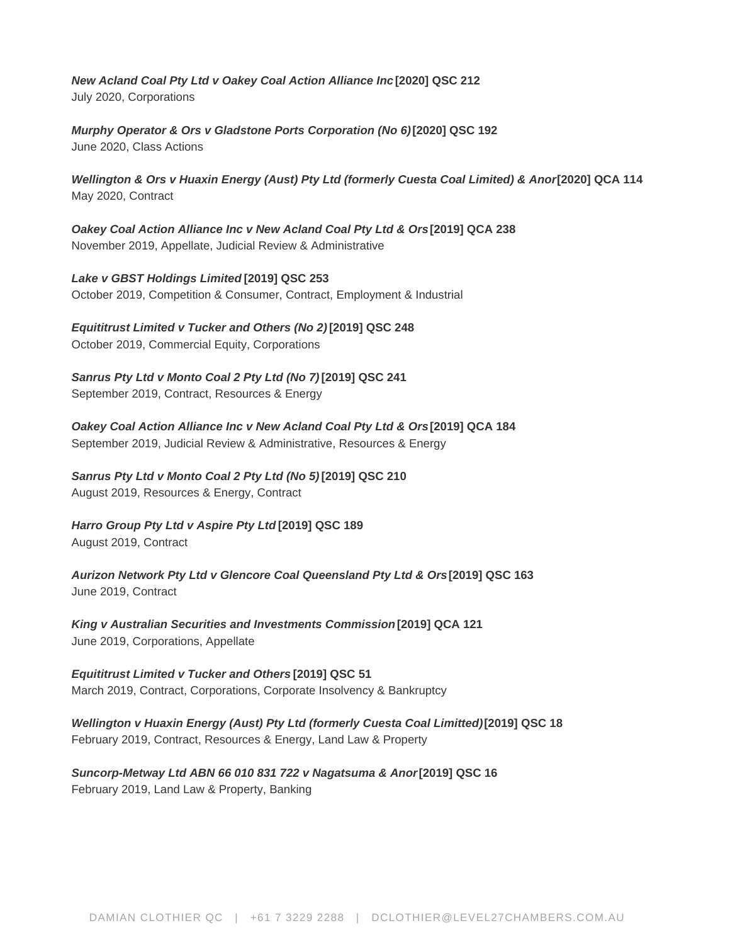**New Acland Coal Pty Ltd v Oakey Coal Action Alliance Inc [2020] QSC 212** July 2020, Corporations

**Murphy Operator & Ors v Gladstone Ports Corporation (No 6) [2020] QSC 192** June 2020, Class Actions

Wellington & Ors v Huaxin Energy (Aust) Pty Ltd (formerly Cuesta Coal Limited) & Anor<sup>[2020]</sup> QCA 114 May 2020, Contract

**Oakey Coal Action Alliance Inc v New Acland Coal Pty Ltd & Ors [2019] QCA 238** November 2019, Appellate, Judicial Review & Administrative

**Lake v GBST Holdings Limited [2019] QSC 253** October 2019, Competition & Consumer, Contract, Employment & Industrial

**Equititrust Limited v Tucker and Others (No 2) [2019] QSC 248** October 2019, Commercial Equity, Corporations

**Sanrus Pty Ltd v Monto Coal 2 Pty Ltd (No 7) [2019] QSC 241** September 2019, Contract, Resources & Energy

**Oakey Coal Action Alliance Inc v New Acland Coal Pty Ltd & Ors[2019] QCA 184** September 2019, Judicial Review & Administrative, Resources & Energy

**Sanrus Pty Ltd v Monto Coal 2 Pty Ltd (No 5) [2019] QSC 210** August 2019, Resources & Energy, Contract

**Harro Group Pty Ltd v Aspire Pty Ltd [2019] QSC 189** August 2019, Contract

**Aurizon Network Pty Ltd v Glencore Coal Queensland Pty Ltd & Ors [2019] QSC 163** June 2019, Contract

**King v Australian Securities and Investments Commission [2019] QCA 121** June 2019, Corporations, Appellate

**Equititrust Limited v Tucker and Others [2019] QSC 51** March 2019, Contract, Corporations, Corporate Insolvency & Bankruptcy

**Wellington v Huaxin Energy (Aust) Pty Ltd (formerly Cuesta Coal Limitted) [2019] QSC 18** February 2019, Contract, Resources & Energy, Land Law & Property

**Suncorp-Metway Ltd ABN 66 010 831 722 v Nagatsuma & Anor [2019] QSC 16** February 2019, Land Law & Property, Banking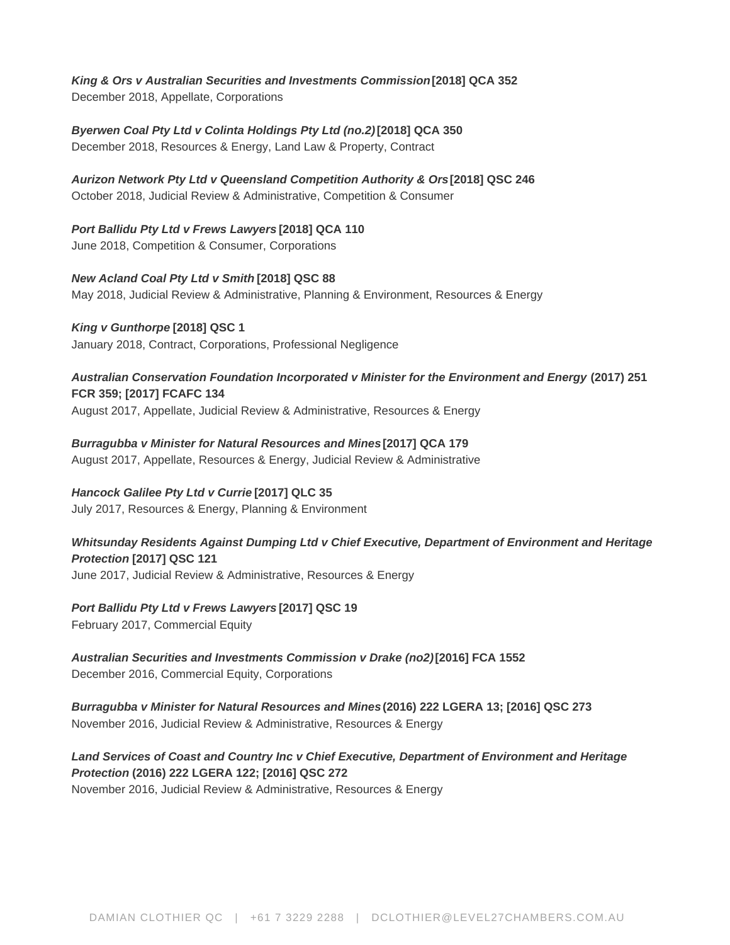**King & Ors v Australian Securities and Investments Commission [2018] QCA 352** December 2018, Appellate, Corporations

**Byerwen Coal Pty Ltd v Colinta Holdings Pty Ltd (no.2) [2018] QCA 350** December 2018, Resources & Energy, Land Law & Property, Contract

**Aurizon Network Pty Ltd v Queensland Competition Authority & Ors [2018] QSC 246** October 2018, Judicial Review & Administrative, Competition & Consumer

**Port Ballidu Pty Ltd v Frews Lawyers [2018] QCA 110** June 2018, Competition & Consumer, Corporations

**New Acland Coal Pty Ltd v Smith [2018] QSC 88** May 2018, Judicial Review & Administrative, Planning & Environment, Resources & Energy

**King v Gunthorpe [2018] QSC 1** January 2018, Contract, Corporations, Professional Negligence

**Australian Conservation Foundation Incorporated v Minister for the Environment and Energy (2017) 251 FCR 359; [2017] FCAFC 134** August 2017, Appellate, Judicial Review & Administrative, Resources & Energy

**Burragubba v Minister for Natural Resources and Mines [2017] QCA 179** August 2017, Appellate, Resources & Energy, Judicial Review & Administrative

# **Hancock Galilee Pty Ltd v Currie [2017] QLC 35**

July 2017, Resources & Energy, Planning & Environment

**Whitsunday Residents Against Dumping Ltd v Chief Executive, Department of Environment and Heritage Protection [2017] QSC 121** June 2017, Judicial Review & Administrative, Resources & Energy

# **Port Ballidu Pty Ltd v Frews Lawyers [2017] QSC 19**

February 2017, Commercial Equity

**Australian Securities and Investments Commission v Drake (no2) [2016] FCA 1552** December 2016, Commercial Equity, Corporations

**Burragubba v Minister for Natural Resources and Mines (2016) 222 LGERA 13; [2016] QSC 273** November 2016, Judicial Review & Administrative, Resources & Energy

# **Land Services of Coast and Country Inc v Chief Executive, Department of Environment and Heritage Protection (2016) 222 LGERA 122; [2016] QSC 272**

November 2016, Judicial Review & Administrative, Resources & Energy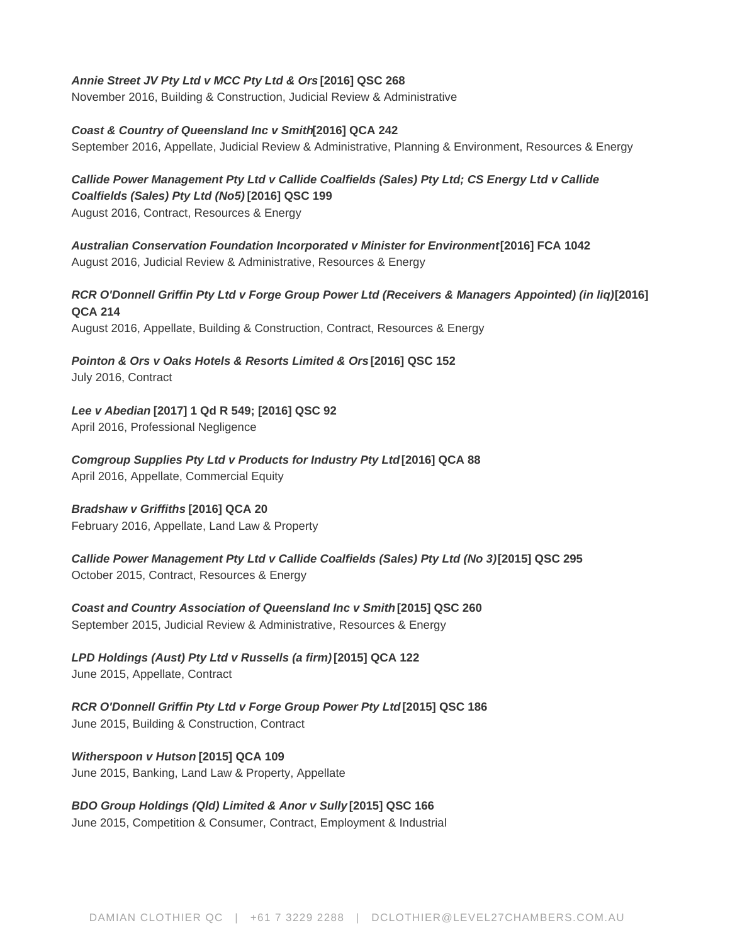#### **Annie Street JV Pty Ltd v MCC Pty Ltd & Ors [2016] QSC 268**

November 2016, Building & Construction, Judicial Review & Administrative

#### **Coast & Country of Queensland Inc v Smith[2016] QCA 242** September 2016, Appellate, Judicial Review & Administrative, Planning & Environment, Resources & Energy

**Callide Power Management Pty Ltd v Callide Coalfields (Sales) Pty Ltd; CS Energy Ltd v Callide Coalfields (Sales) Pty Ltd (No5) [2016] QSC 199** August 2016, Contract, Resources & Energy

**Australian Conservation Foundation Incorporated v Minister for Environment [2016] FCA 1042** August 2016, Judicial Review & Administrative, Resources & Energy

**RCR O'Donnell Griffin Pty Ltd v Forge Group Power Ltd (Receivers & Managers Appointed) (in liq) [2016] QCA 214** August 2016, Appellate, Building & Construction, Contract, Resources & Energy

**Pointon & Ors v Oaks Hotels & Resorts Limited & Ors [2016] QSC 152**

July 2016, Contract

**Lee v Abedian [2017] 1 Qd R 549; [2016] QSC 92** April 2016, Professional Negligence

**Comgroup Supplies Pty Ltd v Products for Industry Pty Ltd [2016] QCA 88** April 2016, Appellate, Commercial Equity

#### **Bradshaw v Griffiths [2016] QCA 20**

February 2016, Appellate, Land Law & Property

**Callide Power Management Pty Ltd v Callide Coalfields (Sales) Pty Ltd (No 3) [2015] QSC 295** October 2015, Contract, Resources & Energy

**Coast and Country Association of Queensland Inc v Smith [2015] QSC 260** September 2015, Judicial Review & Administrative, Resources & Energy

**LPD Holdings (Aust) Pty Ltd v Russells (a firm) [2015] QCA 122** June 2015, Appellate, Contract

**RCR O'Donnell Griffin Pty Ltd v Forge Group Power Pty Ltd [2015] QSC 186** June 2015, Building & Construction, Contract

**Witherspoon v Hutson [2015] QCA 109** June 2015, Banking, Land Law & Property, Appellate

# **BDO Group Holdings (Qld) Limited & Anor v Sully [2015] QSC 166**

June 2015, Competition & Consumer, Contract, Employment & Industrial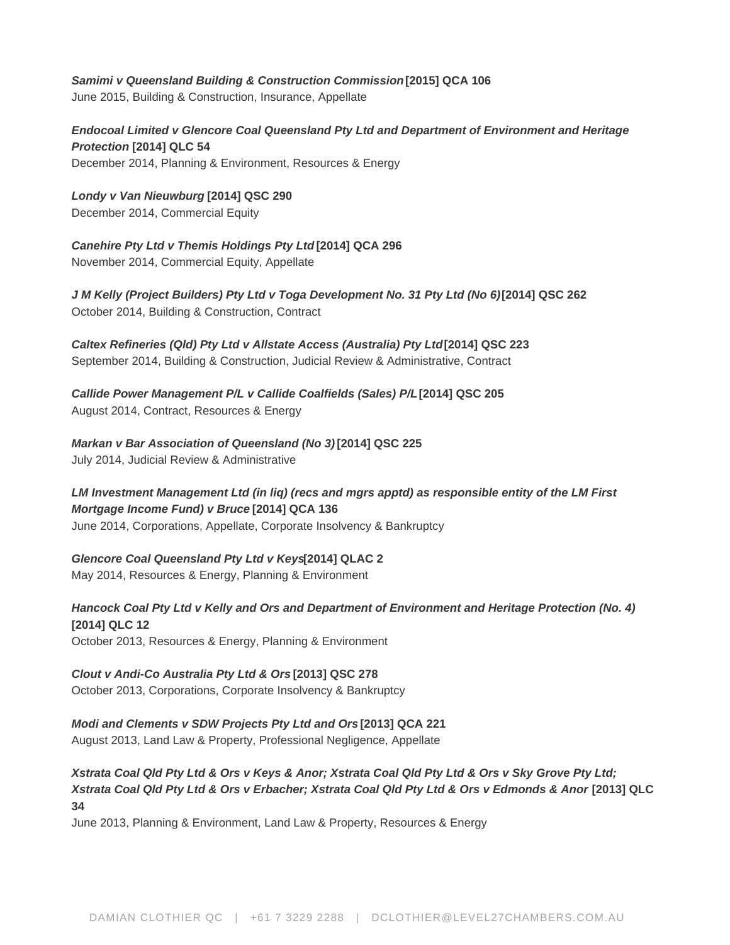# **Samimi v Queensland Building & Construction Commission [2015] QCA 106**

June 2015, Building & Construction, Insurance, Appellate

**Endocoal Limited v Glencore Coal Queensland Pty Ltd and Department of Environment and Heritage Protection [2014] QLC 54** December 2014, Planning & Environment, Resources & Energy

**Londy v Van Nieuwburg [2014] QSC 290** December 2014, Commercial Equity

**Canehire Pty Ltd v Themis Holdings Pty Ltd [2014] QCA 296** November 2014, Commercial Equity, Appellate

**J M Kelly (Project Builders) Pty Ltd v Toga Development No. 31 Pty Ltd (No 6) [2014] QSC 262** October 2014, Building & Construction, Contract

**Caltex Refineries (Qld) Pty Ltd v Allstate Access (Australia) Pty Ltd [2014] QSC 223** September 2014, Building & Construction, Judicial Review & Administrative, Contract

**Callide Power Management P/L v Callide Coalfields (Sales) P/L [2014] QSC 205** August 2014, Contract, Resources & Energy

**Markan v Bar Association of Queensland (No 3) [2014] QSC 225** July 2014, Judicial Review & Administrative

**LM Investment Management Ltd (in liq) (recs and mgrs apptd) as responsible entity of the LM First Mortgage Income Fund) v Bruce [2014] QCA 136** June 2014, Corporations, Appellate, Corporate Insolvency & Bankruptcy

# **Glencore Coal Queensland Pty Ltd v Keys[2014] QLAC 2**

May 2014, Resources & Energy, Planning & Environment

**Hancock Coal Pty Ltd v Kelly and Ors and Department of Environment and Heritage Protection (No. 4) [2014] QLC 12** October 2013, Resources & Energy, Planning & Environment

**Clout v Andi-Co Australia Pty Ltd & Ors [2013] QSC 278**

October 2013, Corporations, Corporate Insolvency & Bankruptcy

**Modi and Clements v SDW Projects Pty Ltd and Ors [2013] QCA 221**

August 2013, Land Law & Property, Professional Negligence, Appellate

**Xstrata Coal Qld Pty Ltd & Ors v Keys & Anor; Xstrata Coal Qld Pty Ltd & Ors v Sky Grove Pty Ltd; Xstrata Coal Qld Pty Ltd & Ors v Erbacher; Xstrata Coal Qld Pty Ltd & Ors v Edmonds & Anor [2013] QLC 34**

June 2013, Planning & Environment, Land Law & Property, Resources & Energy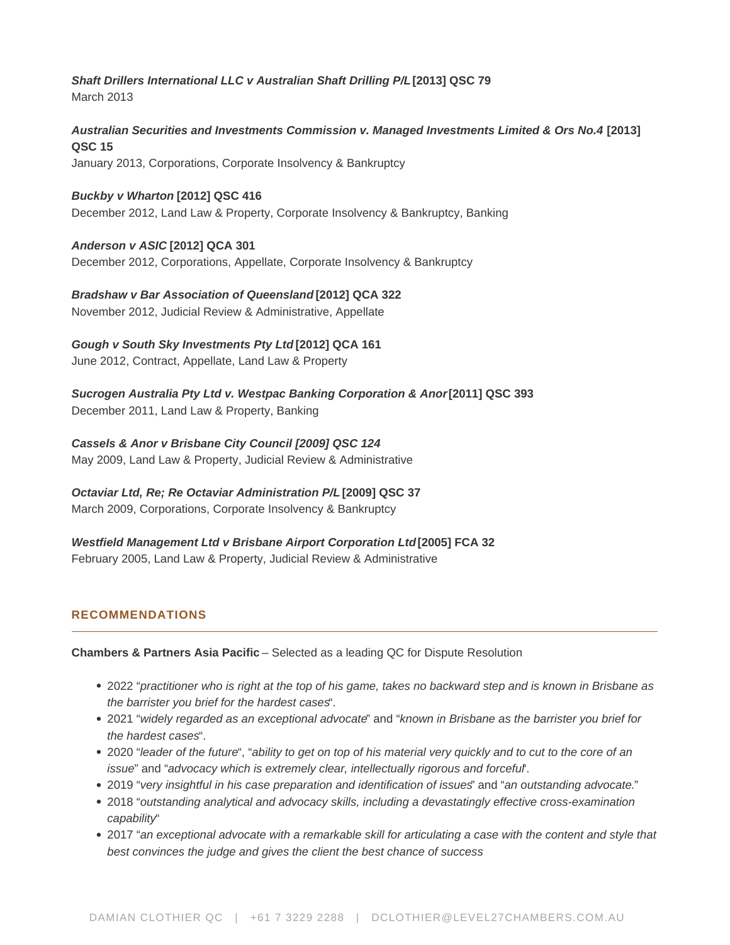**Shaft Drillers International LLC v Australian Shaft Drilling P/L [2013] QSC 79** March 2013

**Australian Securities and Investments Commission v. Managed Investments Limited & Ors No.4 [2013] QSC 15** January 2013, Corporations, Corporate Insolvency & Bankruptcy

**Buckby v Wharton [2012] QSC 416** December 2012, Land Law & Property, Corporate Insolvency & Bankruptcy, Banking

#### **Anderson v ASIC [2012] QCA 301**

December 2012, Corporations, Appellate, Corporate Insolvency & Bankruptcy

**Bradshaw v Bar Association of Queensland [2012] QCA 322** November 2012, Judicial Review & Administrative, Appellate

#### **Gough v South Sky Investments Pty Ltd [2012] QCA 161**

June 2012, Contract, Appellate, Land Law & Property

**Sucrogen Australia Pty Ltd v. Westpac Banking Corporation & Anor [2011] QSC 393** December 2011, Land Law & Property, Banking

**Cassels & Anor v Brisbane City Council [2009] QSC 124**

May 2009, Land Law & Property, Judicial Review & Administrative

**Octaviar Ltd, Re; Re Octaviar Administration P/L [2009] QSC 37**

March 2009, Corporations, Corporate Insolvency & Bankruptcy

**Westfield Management Ltd v Brisbane Airport Corporation Ltd [2005] FCA 32** February 2005, Land Law & Property, Judicial Review & Administrative

# **RECOMMENDATIONS**

**Chambers & Partners Asia Pacific** – Selected as a leading QC for Dispute Resolution

- 2022 "practitioner who is right at the top of his game, takes no backward step and is known in Brisbane as the barrister you brief for the hardest cases".
- 2021 "widely regarded as an exceptional advocate" and "known in Brisbane as the barrister you brief for the hardest cases".
- 2020 "leader of the future", "ability to get on top of his material very quickly and to cut to the core of an issue" and "advocacy which is extremely clear, intellectually rigorous and forcefurt.
- 2019 "very insightful in his case preparation and identification of issues" and "an outstanding advocate."
- 2018 "outstanding analytical and advocacy skills, including a devastatingly effective cross-examination capability"
- 2017 "an exceptional advocate with a remarkable skill for articulating a case with the content and style that best convinces the judge and gives the client the best chance of success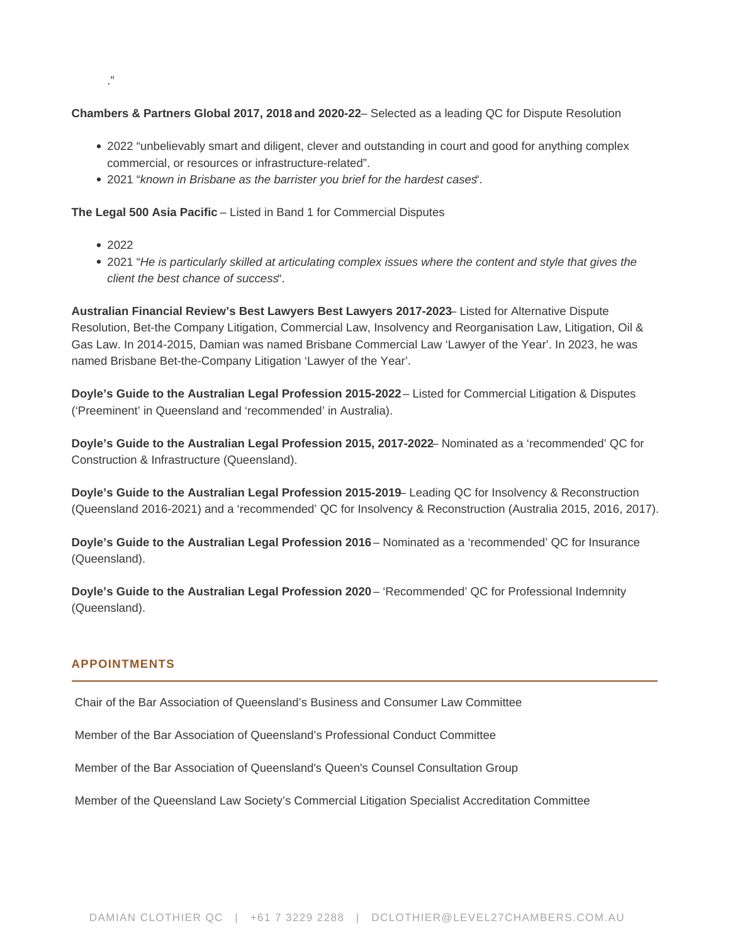#### **Chambers & Partners Global 2017, 2018 and 2020-22**– Selected as a leading QC for Dispute Resolution

- 2022 "unbelievably smart and diligent, clever and outstanding in court and good for anything complex commercial, or resources or infrastructure-related".
- 2021 "known in Brisbane as the barrister you brief for the hardest cases".

**The Legal 500 Asia Pacific** – Listed in Band 1 for Commercial Disputes

- 2022
- 2021 "He is particularly skilled at articulating complex issues where the content and style that gives the client the best chance of success".

**Australian Financial Review's Best Lawyers Best Lawyers 2017-2023**– Listed for Alternative Dispute Resolution, Bet-the Company Litigation, Commercial Law, Insolvency and Reorganisation Law, Litigation, Oil & Gas Law. In 2014-2015, Damian was named Brisbane Commercial Law 'Lawyer of the Year'. In 2023, he was named Brisbane Bet-the-Company Litigation 'Lawyer of the Year'.

**Doyle's Guide to the Australian Legal Profession 2015-2022** – Listed for Commercial Litigation & Disputes ('Preeminent' in Queensland and 'recommended' in Australia).

**Doyle's Guide to the Australian Legal Profession 2015, 2017-2022**– Nominated as a 'recommended' QC for Construction & Infrastructure (Queensland).

**Doyle's Guide to the Australian Legal Profession 2015-2019**– Leading QC for Insolvency & Reconstruction (Queensland 2016-2021) and a 'recommended' QC for Insolvency & Reconstruction (Australia 2015, 2016, 2017).

**Doyle's Guide to the Australian Legal Profession 2016** – Nominated as a 'recommended' QC for Insurance (Queensland).

**Doyle's Guide to the Australian Legal Profession 2020** – 'Recommended' QC for Professional Indemnity (Queensland).

#### **APPOINTMENTS**

Chair of the Bar Association of Queensland's Business and Consumer Law Committee

Member of the Bar Association of Queensland's Professional Conduct Committee

Member of the Bar Association of Queensland's Queen's Counsel Consultation Group

Member of the Queensland Law Society's Commercial Litigation Specialist Accreditation Committee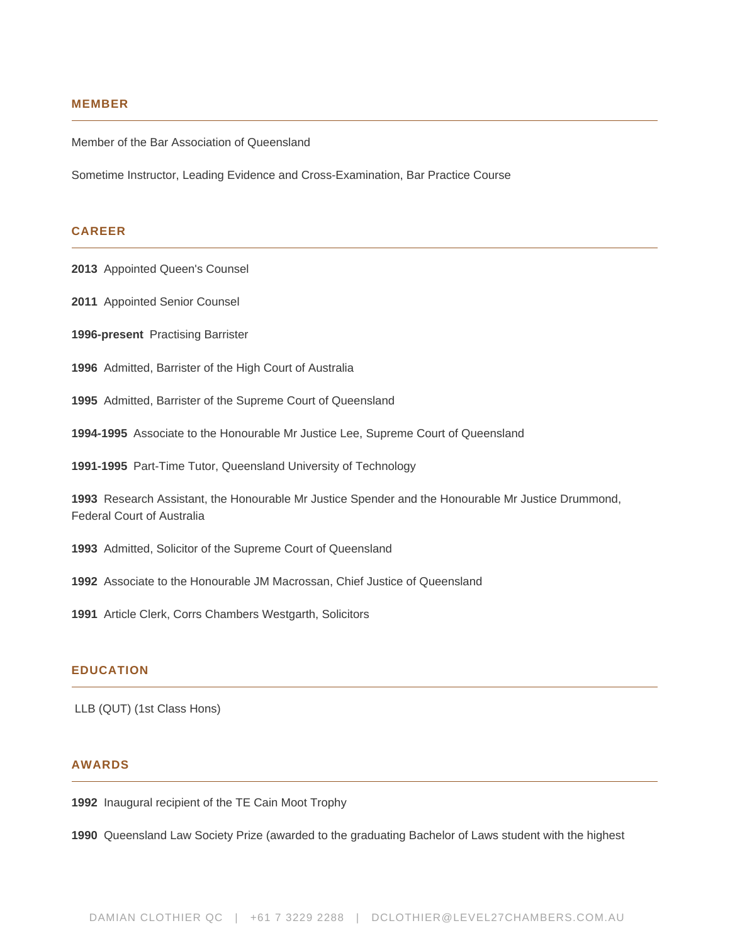#### **MEMBER**

Member of the Bar Association of Queensland

Sometime Instructor, Leading Evidence and Cross-Examination, Bar Practice Course

### **CAREER**

**2013** Appointed Queen's Counsel

- **2011** Appointed Senior Counsel
- **1996-present** Practising Barrister
- **1996** Admitted, Barrister of the High Court of Australia
- **1995** Admitted, Barrister of the Supreme Court of Queensland
- **1994-1995** Associate to the Honourable Mr Justice Lee, Supreme Court of Queensland
- **1991-1995** Part-Time Tutor, Queensland University of Technology

**1993** Research Assistant, the Honourable Mr Justice Spender and the Honourable Mr Justice Drummond, Federal Court of Australia

- **1993** Admitted, Solicitor of the Supreme Court of Queensland
- **1992** Associate to the Honourable JM Macrossan, Chief Justice of Queensland
- **1991** Article Clerk, Corrs Chambers Westgarth, Solicitors

#### **EDUCATION**

LLB (QUT) (1st Class Hons)

#### **AWARDS**

**1992** Inaugural recipient of the TE Cain Moot Trophy

**1990** Queensland Law Society Prize (awarded to the graduating Bachelor of Laws student with the highest